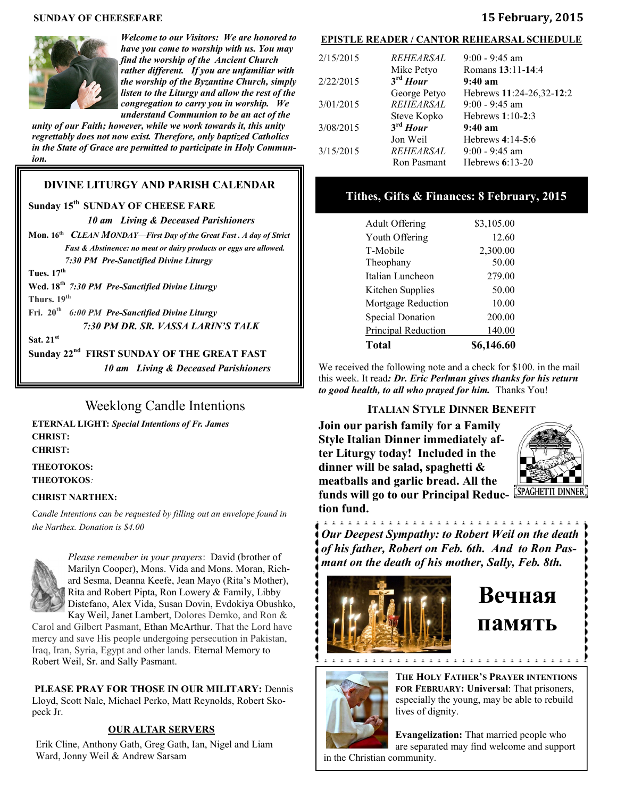#### **SUNDAY OF CHEESEFARE 15 February, 2015**



*Welcome to our Visitors: We are honored to have you come to worship with us. You may find the worship of the Ancient Church rather different. If you are unfamiliar with the worship of the Byzantine Church, simply listen to the Liturgy and allow the rest of the congregation to carry you in worship. We understand Communion to be an act of the* 

*unity of our Faith; however, while we work towards it, this unity regrettably does not now exist. Therefore, only baptized Catholics in the State of Grace are permitted to participate in Holy Communion.*

#### **DIVINE LITURGY AND PARISH CALENDAR**

#### **Sunday 15th SUNDAY OF CHEESE FARE**

*10 am Living & Deceased Parishioners* 

**Mon. 16th** *CLEAN MONDAY—First Day of the Great Fast . A day of Strict Fast & Abstinence: no meat or dairy products or eggs are allowed. 7:30 PM Pre-Sanctified Divine Liturgy*

**Tues. 17th**

**Wed. 18th** *7:30 PM Pre-Sanctified Divine Liturgy* **Thurs. 19th** 

**Fri. 20th** *6:00 PM Pre-Sanctified Divine Liturgy 7:30 PM DR. SR. VASSA LARIN'S TALK*

**Sat. 21st** 

**Sunday 22nd FIRST SUNDAY OF THE GREAT FAST**

*10 am Living & Deceased Parishioners* 

### Weeklong Candle Intentions

**ETERNAL LIGHT:** *Special Intentions of Fr. James*  **CHRIST: CHRIST:** 

**THEOTOKOS: THEOTOKOS***:* 

#### **CHRIST NARTHEX:**

*Candle Intentions can be requested by filling out an envelope found in the Narthex. Donation is \$4.00*



*Please remember in your prayers*: David (brother of Marilyn Cooper), Mons. Vida and Mons. Moran, Richard Sesma, Deanna Keefe, Jean Mayo (Rita's Mother), Rita and Robert Pipta, Ron Lowery & Family, Libby Distefano, Alex Vida, Susan Dovin, Evdokiya Obushko, Kay Weil, Janet Lambert, Dolores Demko, and Ron &

Carol and Gilbert Pasmant, Ethan McArthur. That the Lord have mercy and save His people undergoing persecution in Pakistan, Iraq, Iran, Syria, Egypt and other lands. Eternal Memory to Robert Weil, Sr. and Sally Pasmant.

**PLEASE PRAY FOR THOSE IN OUR MILITARY:** Dennis Lloyd, Scott Nale, Michael Perko, Matt Reynolds, Robert Skopeck Jr.

#### **OUR ALTAR SERVERS**

Erik Cline, Anthony Gath, Greg Gath, Ian, Nigel and Liam Ward, Jonny Weil & Andrew Sarsam

#### **EPISTLE READER / CANTOR REHEARSAL SCHEDULE**

| 2/15/2015 | REHEARSAL                          | $9:00 - 9:45$ am                |
|-----------|------------------------------------|---------------------------------|
| 2/22/2015 | Mike Petyo<br>$3^{\text{rd}}$ Hour | Romans 13:11-14:4<br>$9:40~a$ m |
|           | George Petyo                       | Hebrews 11:24-26,32-12:2        |
| 3/01/2015 | <b>REHEARSAL</b>                   | $9:00 - 9:45$ am                |
|           | Steve Kopko                        | Hebrews $1:10-2:3$              |
| 3/08/2015 | $3rd$ Hour                         | $9:40~a$ m                      |
|           | Jon Weil                           | Hebrews $4:14-5:6$              |
| 3/15/2015 | <b>REHEARSAL</b>                   | $9:00 - 9:45$ am                |
|           | Ron Pasmant                        | Hebrews $6:13-20$               |

#### **Tithes, Gifts & Finances: 8 February, 2015**

| Total                      | \$6,146.60 |
|----------------------------|------------|
| <b>Principal Reduction</b> | 140.00     |
| <b>Special Donation</b>    | 200.00     |
| Mortgage Reduction         | 10.00      |
| Kitchen Supplies           | 50.00      |
| Italian Luncheon           | 279.00     |
| Theophany                  | 50.00      |
| T-Mobile                   | 2,300.00   |
| Youth Offering             | 12.60      |
| <b>Adult Offering</b>      | \$3,105.00 |

We received the following note and a check for \$100. in the mail this week. It read*: Dr. Eric Perlman gives thanks for his return to good health, to all who prayed for him.* Thanks You!

#### **ITALIAN STYLE DINNER BENEFIT**

**Join our parish family for a Family Style Italian Dinner immediately after Liturgy today! Included in the dinner will be salad, spaghetti & meatballs and garlic bread. All the funds will go to our Principal Reduction fund.** 



*Our Deepest Sympathy: to Robert Weil on the death of his father, Robert on Feb. 6th. And to Ron Pasmant on the death of his mother, Sally, Feb. 8th.* 



# **Вечная память**



**THE HOLY FATHER'S PRAYER INTENTIONS FOR FEBRUARY: Universal**: That prisoners, especially the young, may be able to rebuild lives of dignity.

**Evangelization:** That married people who are separated may find welcome and support in the Christian community.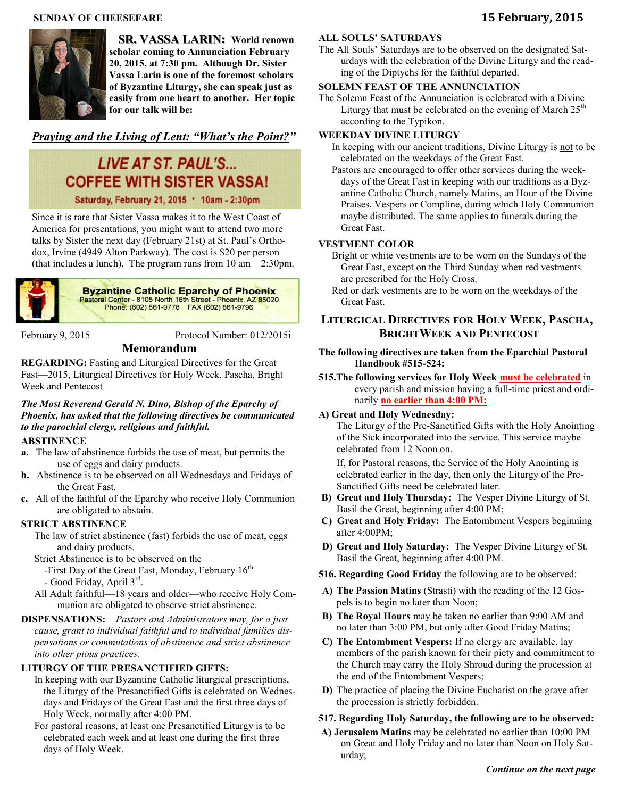#### **SUNDAY OF CHEESEFARE 15 February, 2015**



 **SR. VASSA LARIN: World renown scholar coming to Annunciation February 20, 2015, at 7:30 pm. Although Dr. Sister Vassa Larin is one of the foremost scholars of Byzantine Liturgy, she can speak just as easily from one heart to another. Her topic for our talk will be:** 

#### *Praying and the Living of Lent: "What's the Point?"*

## **LIVE AT ST. PAUL'S... COFFEE WITH SISTER VASSA!**

Saturday, February 21, 2015 . 10am - 2:30pm

Since it is rare that Sister Vassa makes it to the West Coast of America for presentations, you might want to attend two more talks by Sister the next day (February 21st) at St. Paul's Orthodox, Irvine (4949 Alton Parkway). The cost is \$20 per person (that includes a lunch). The program runs from 10 am—2:30pm.



**Byzantine Catholic Eparchy of Phoenix** Pastoral Center - 8105 North 16th Street - Phoenix, AZ 85020<br>Phone: (602) 861-9778 FAX (602) 861-9796

February 9, 2015 Protocol Number: 012/2015i

**REGARDING:** Fasting and Liturgical Directives for the Great Fast—2015, Liturgical Directives for Holy Week, Pascha, Bright Week and Pentecost

**Memorandum**

#### *The Most Reverend Gerald N. Dino, Bishop of the Eparchy of Phoenix, has asked that the following directives be communicated to the parochial clergy, religious and faithful.*

#### **ABSTINENCE**

- **a.** The law of abstinence forbids the use of meat, but permits the use of eggs and dairy products.
- **b.** Abstinence is to be observed on all Wednesdays and Fridays of the Great Fast.
- **c.** All of the faithful of the Eparchy who receive Holy Communion are obligated to abstain.

#### **STRICT ABSTINENCE**

The law of strict abstinence (fast) forbids the use of meat, eggs and dairy products.

- Strict Abstinence is to be observed on the
- -First Day of the Great Fast, Monday, February  $16<sup>th</sup>$ - Good Friday, April 3rd .
- All Adult faithful—18 years and older—who receive Holy Communion are obligated to observe strict abstinence.

#### **DISPENSATIONS:** *Pastors and Administrators may, for a just cause, grant to individual faithful and to individual families dispensations or commutations of abstinence and strict abstinence into other pious practices.*

#### **LITURGY OF THE PRESANCTIFIED GIFTS:**

- In keeping with our Byzantine Catholic liturgical prescriptions, the Liturgy of the Presanctified Gifts is celebrated on Wednesdays and Fridays of the Great Fast and the first three days of Holy Week, normally after 4:00 PM.
- For pastoral reasons, at least one Presanctified Liturgy is to be celebrated each week and at least one during the first three days of Holy Week.

#### **ALL SOULS' SATURDAYS**

The All Souls' Saturdays are to be observed on the designated Saturdays with the celebration of the Divine Liturgy and the reading of the Diptychs for the faithful departed.

#### **SOLEMN FEAST OF THE ANNUNCIATION**

The Solemn Feast of the Annunciation is celebrated with a Divine Liturgy that must be celebrated on the evening of March  $25<sup>th</sup>$ according to the Typikon.

#### **WEEKDAY DIVINE LITURGY**

- In keeping with our ancient traditions, Divine Liturgy is not to be celebrated on the weekdays of the Great Fast.
- Pastors are encouraged to offer other services during the weekdays of the Great Fast in keeping with our traditions as a Byzantine Catholic Church, namely Matins, an Hour of the Divine Praises, Vespers or Compline, during which Holy Communion maybe distributed. The same applies to funerals during the Great Fast.

#### **VESTMENT COLOR**

Bright or white vestments are to be worn on the Sundays of the Great Fast, except on the Third Sunday when red vestments are prescribed for the Holy Cross.

Red or dark vestments are to be worn on the weekdays of the Great Fast.

#### **LITURGICAL DIRECTIVES FOR HOLY WEEK, PASCHA, BRIGHTWEEK AND PENTECOST**

#### **The following directives are taken from the Eparchial Pastoral Handbook #515-524:**

**515.The following services for Holy Week must be celebrated** in every parish and mission having a full-time priest and ordinarily **no earlier than 4:00 PM:**

#### **A) Great and Holy Wednesday:**

The Liturgy of the Pre-Sanctified Gifts with the Holy Anointing of the Sick incorporated into the service. This service maybe celebrated from 12 Noon on.

If, for Pastoral reasons, the Service of the Holy Anointing is celebrated earlier in the day, then only the Liturgy of the Pre-Sanctified Gifts need be celebrated later.

- **B) Great and Holy Thursday:** The Vesper Divine Liturgy of St. Basil the Great, beginning after 4:00 PM;
- **C) Great and Holy Friday:** The Entombment Vespers beginning after 4:00PM;
- **D) Great and Holy Saturday:** The Vesper Divine Liturgy of St. Basil the Great, beginning after 4:00 PM.
- **516. Regarding Good Friday** the following are to be observed:
- **A) The Passion Matins** (Strasti) with the reading of the 12 Gospels is to begin no later than Noon;
- **B) The Royal Hours** may be taken no earlier than 9:00 AM and no later than 3:00 PM, but only after Good Friday Matins;
- **C) The Entombment Vespers:** If no clergy are available, lay members of the parish known for their piety and commitment to the Church may carry the Holy Shroud during the procession at the end of the Entombment Vespers;
- **D)** The practice of placing the Divine Eucharist on the grave after the procession is strictly forbidden.

#### **517. Regarding Holy Saturday, the following are to be observed:**

**A) Jerusalem Matins** may be celebrated no earlier than 10:00 PM on Great and Holy Friday and no later than Noon on Holy Saturday;